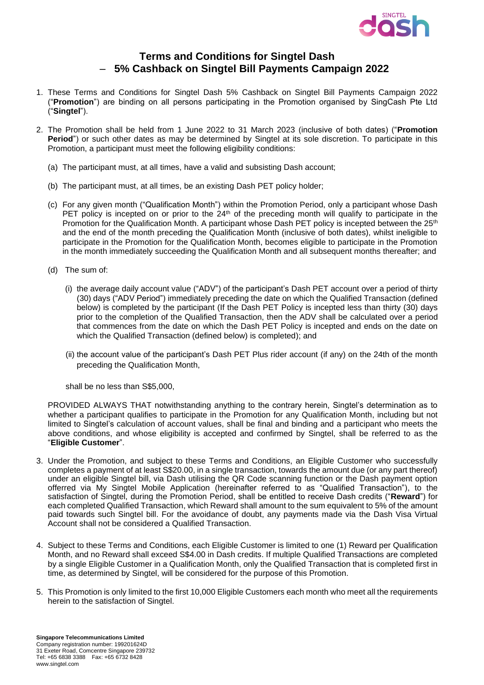

## **Terms and Conditions for Singtel Dash**  – **5% Cashback on Singtel Bill Payments Campaign 2022**

- 1. These Terms and Conditions for Singtel Dash 5% Cashback on Singtel Bill Payments Campaign 2022 ("**Promotion**") are binding on all persons participating in the Promotion organised by SingCash Pte Ltd ("**Singtel**").
- 2. The Promotion shall be held from 1 June 2022 to 31 March 2023 (inclusive of both dates) ("**Promotion Period**") or such other dates as may be determined by Singtel at its sole discretion. To participate in this Promotion, a participant must meet the following eligibility conditions:
	- (a) The participant must, at all times, have a valid and subsisting Dash account;
	- (b) The participant must, at all times, be an existing Dash PET policy holder;
	- (c) For any given month ("Qualification Month") within the Promotion Period, only a participant whose Dash PET policy is incepted on or prior to the  $24<sup>th</sup>$  of the preceding month will qualify to participate in the Promotion for the Qualification Month. A participant whose Dash PET policy is incepted between the 25<sup>th</sup> and the end of the month preceding the Qualification Month (inclusive of both dates), whilst ineligible to participate in the Promotion for the Qualification Month, becomes eligible to participate in the Promotion in the month immediately succeeding the Qualification Month and all subsequent months thereafter; and
	- (d) The sum of:
		- (i) the average daily account value ("ADV") of the participant's Dash PET account over a period of thirty (30) days ("ADV Period") immediately preceding the date on which the Qualified Transaction (defined below) is completed by the participant (If the Dash PET Policy is incepted less than thirty (30) days prior to the completion of the Qualified Transaction, then the ADV shall be calculated over a period that commences from the date on which the Dash PET Policy is incepted and ends on the date on which the Qualified Transaction (defined below) is completed); and
		- (ii) the account value of the participant's Dash PET Plus rider account (if any) on the 24th of the month preceding the Qualification Month,

shall be no less than S\$5,000,

PROVIDED ALWAYS THAT notwithstanding anything to the contrary herein, Singtel's determination as to whether a participant qualifies to participate in the Promotion for any Qualification Month, including but not limited to Singtel's calculation of account values, shall be final and binding and a participant who meets the above conditions, and whose eligibility is accepted and confirmed by Singtel, shall be referred to as the "**Eligible Customer**".

- 3. Under the Promotion, and subject to these Terms and Conditions, an Eligible Customer who successfully completes a payment of at least S\$20.00, in a single transaction, towards the amount due (or any part thereof) under an eligible Singtel bill, via Dash utilising the QR Code scanning function or the Dash payment option offerred via My Singtel Mobile Application (hereinafter referred to as "Qualified Transaction"), to the satisfaction of Singtel, during the Promotion Period, shall be entitled to receive Dash credits ("**Reward**") for each completed Qualified Transaction, which Reward shall amount to the sum equivalent to 5% of the amount paid towards such Singtel bill. For the avoidance of doubt, any payments made via the Dash Visa Virtual Account shall not be considered a Qualified Transaction.
- 4. Subject to these Terms and Conditions, each Eligible Customer is limited to one (1) Reward per Qualification Month, and no Reward shall exceed S\$4.00 in Dash credits. If multiple Qualified Transactions are completed by a single Eligible Customer in a Qualification Month, only the Qualified Transaction that is completed first in time, as determined by Singtel, will be considered for the purpose of this Promotion.
- 5. This Promotion is only limited to the first 10,000 Eligible Customers each month who meet all the requirements herein to the satisfaction of Singtel.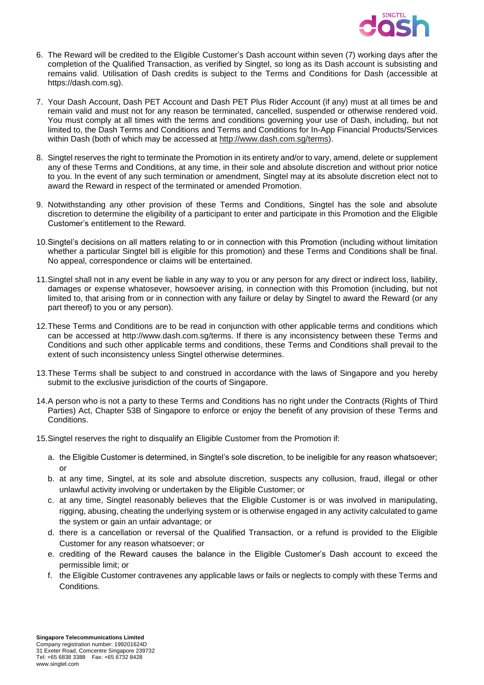

- 6. The Reward will be credited to the Eligible Customer's Dash account within seven (7) working days after the completion of the Qualified Transaction, as verified by Singtel, so long as its Dash account is subsisting and remains valid. Utilisation of Dash credits is subject to the Terms and Conditions for Dash (accessible at https://dash.com.sg).
- 7. Your Dash Account, Dash PET Account and Dash PET Plus Rider Account (if any) must at all times be and remain valid and must not for any reason be terminated, cancelled, suspended or otherwise rendered void. You must comply at all times with the terms and conditions governing your use of Dash, including, but not limited to, the Dash Terms and Conditions and Terms and Conditions for In-App Financial Products/Services within Dash (both of which may be accessed at [http://www.dash.com.sg/terms\)](http://www.dash.com.sg/terms).
- 8. Singtel reserves the right to terminate the Promotion in its entirety and/or to vary, amend, delete or supplement any of these Terms and Conditions, at any time, in their sole and absolute discretion and without prior notice to you. In the event of any such termination or amendment, Singtel may at its absolute discretion elect not to award the Reward in respect of the terminated or amended Promotion.
- 9. Notwithstanding any other provision of these Terms and Conditions, Singtel has the sole and absolute discretion to determine the eligibility of a participant to enter and participate in this Promotion and the Eligible Customer's entitlement to the Reward.
- 10.Singtel's decisions on all matters relating to or in connection with this Promotion (including without limitation whether a particular Singtel bill is eligible for this promotion) and these Terms and Conditions shall be final. No appeal, correspondence or claims will be entertained.
- 11.Singtel shall not in any event be liable in any way to you or any person for any direct or indirect loss, liability, damages or expense whatosever, howsoever arising, in connection with this Promotion (including, but not limited to, that arising from or in connection with any failure or delay by Singtel to award the Reward (or any part thereof) to you or any person).
- 12.These Terms and Conditions are to be read in conjunction with other applicable terms and conditions which can be accessed at http://www.dash.com.sg/terms. If there is any inconsistency between these Terms and Conditions and such other applicable terms and conditions, these Terms and Conditions shall prevail to the extent of such inconsistency unless Singtel otherwise determines.
- 13.These Terms shall be subject to and construed in accordance with the laws of Singapore and you hereby submit to the exclusive jurisdiction of the courts of Singapore.
- 14.A person who is not a party to these Terms and Conditions has no right under the Contracts (Rights of Third Parties) Act, Chapter 53B of Singapore to enforce or enjoy the benefit of any provision of these Terms and Conditions.
- 15.Singtel reserves the right to disqualify an Eligible Customer from the Promotion if:
	- a. the Eligible Customer is determined, in Singtel's sole discretion, to be ineligible for any reason whatsoever; or
	- b. at any time, Singtel, at its sole and absolute discretion, suspects any collusion, fraud, illegal or other unlawful activity involving or undertaken by the Eligible Customer; or
	- c. at any time, Singtel reasonably believes that the Eligible Customer is or was involved in manipulating, rigging, abusing, cheating the underlying system or is otherwise engaged in any activity calculated to game the system or gain an unfair advantage; or
	- d. there is a cancellation or reversal of the Qualified Transaction, or a refund is provided to the Eligible Customer for any reason whatsoever; or
	- e. crediting of the Reward causes the balance in the Eligible Customer's Dash account to exceed the permissible limit; or
	- f. the Eligible Customer contravenes any applicable laws or fails or neglects to comply with these Terms and Conditions.